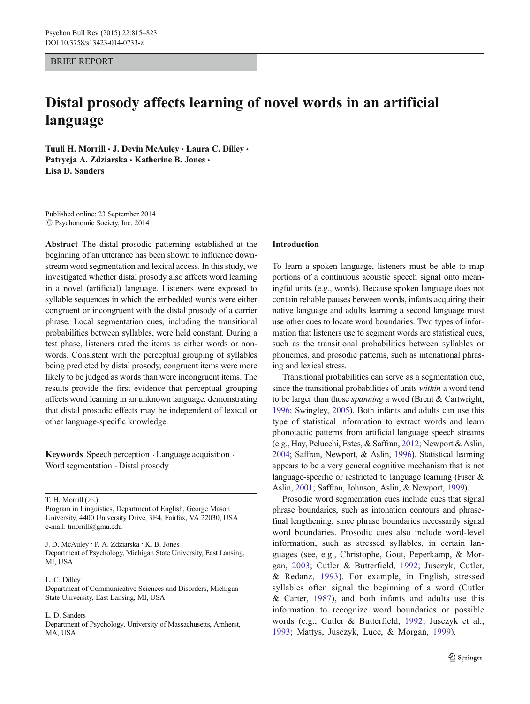## BRIEF REPORT

# Distal prosody affects learning of novel words in an artificial language

Tuuli H. Morrill · J. Devin McAuley · Laura C. Dilley · Patrycja A. Zdziarska · Katherine B. Jones · Lisa D. Sanders

Published online: 23 September 2014  $\oslash$  Psychonomic Society, Inc. 2014

Abstract The distal prosodic patterning established at the beginning of an utterance has been shown to influence downstream word segmentation and lexical access. In this study, we investigated whether distal prosody also affects word learning in a novel (artificial) language. Listeners were exposed to syllable sequences in which the embedded words were either congruent or incongruent with the distal prosody of a carrier phrase. Local segmentation cues, including the transitional probabilities between syllables, were held constant. During a test phase, listeners rated the items as either words or nonwords. Consistent with the perceptual grouping of syllables being predicted by distal prosody, congruent items were more likely to be judged as words than were incongruent items. The results provide the first evidence that perceptual grouping affects word learning in an unknown language, demonstrating that distal prosodic effects may be independent of lexical or other language-specific knowledge.

Keywords Speech perception . Language acquisition . Word segmentation . Distal prosody

T. H. Morrill  $(\boxtimes)$ 

Program in Linguistics, Department of English, George Mason University, 4400 University Drive, 3E4, Fairfax, VA 22030, USA e-mail: tmorrill@gmu.edu

J. D. McAuley : P. A. Zdziarska : K. B. Jones Department of Psychology, Michigan State University, East Lansing, MI, USA

#### L. C. Dilley

Department of Communicative Sciences and Disorders, Michigan State University, East Lansing, MI, USA

#### L. D. Sanders

Department of Psychology, University of Massachusetts, Amherst, MA, USA

#### Introduction

To learn a spoken language, listeners must be able to map portions of a continuous acoustic speech signal onto meaningful units (e.g., words). Because spoken language does not contain reliable pauses between words, infants acquiring their native language and adults learning a second language must use other cues to locate word boundaries. Two types of information that listeners use to segment words are statistical cues, such as the transitional probabilities between syllables or phonemes, and prosodic patterns, such as intonational phrasing and lexical stress.

Transitional probabilities can serve as a segmentation cue, since the transitional probabilities of units within a word tend to be larger than those spanning a word (Brent & Cartwright, [1996;](#page-7-0) Swingley, [2005\)](#page-8-0). Both infants and adults can use this type of statistical information to extract words and learn phonotactic patterns from artificial language speech streams (e.g., Hay, Pelucchi, Estes, & Saffran, [2012](#page-8-0); Newport & Aslin, [2004;](#page-8-0) Saffran, Newport, & Aslin, [1996\)](#page-8-0). Statistical learning appears to be a very general cognitive mechanism that is not language-specific or restricted to language learning (Fiser & Aslin, [2001;](#page-7-0) Saffran, Johnson, Aslin, & Newport, [1999](#page-8-0)).

Prosodic word segmentation cues include cues that signal phrase boundaries, such as intonation contours and phrasefinal lengthening, since phrase boundaries necessarily signal word boundaries. Prosodic cues also include word-level information, such as stressed syllables, in certain languages (see, e.g., Christophe, Gout, Peperkamp, & Morgan, [2003](#page-7-0); Cutler & Butterfield, [1992;](#page-7-0) Jusczyk, Cutler, & Redanz, [1993\)](#page-8-0). For example, in English, stressed syllables often signal the beginning of a word (Cutler & Carter, [1987\)](#page-7-0), and both infants and adults use this information to recognize word boundaries or possible words (e.g., Cutler & Butterfield, [1992](#page-7-0); Jusczyk et al., [1993](#page-8-0); Mattys, Jusczyk, Luce, & Morgan, [1999\)](#page-8-0).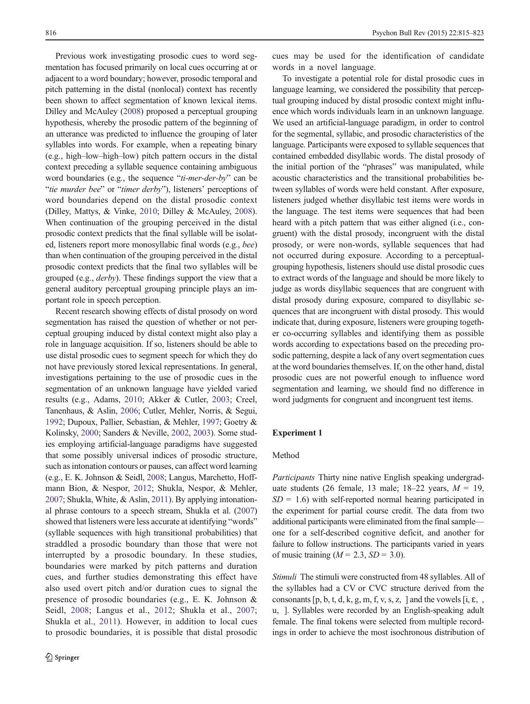<span id="page-1-0"></span>Previous work investigating prosodic cues to word segmentation has focused primarily on local cues occurring at or adjacent to a word boundary; however, prosodic temporal and pitch patterning in the distal (nonlocal) context has recently been shown to affect segmentation of known lexical items. Dilley and McAuley ([2008](#page-7-0)) proposed a perceptual grouping hypothesis, whereby the prosodic pattern of the beginning of an utterance was predicted to influence the grouping of later syllables into words. For example, when a repeating binary (e.g., high–low–high–low) pitch pattern occurs in the distal context preceding a syllable sequence containing ambiguous word boundaries (e.g., the sequence "ti-mer-der-by" can be "tie murder bee" or "timer derby"), listeners' perceptions of word boundaries depend on the distal prosodic context (Dilley, Mattys, & Vinke, [2010;](#page-7-0) Dilley & McAuley, [2008\)](#page-7-0). When continuation of the grouping perceived in the distal prosodic context predicts that the final syllable will be isolated, listeners report more monosyllabic final words (e.g., bee) than when continuation of the grouping perceived in the distal prosodic context predicts that the final two syllables will be grouped (e.g., derby). These findings support the view that a general auditory perceptual grouping principle plays an important role in speech perception.

Recent research showing effects of distal prosody on word segmentation has raised the question of whether or not perceptual grouping induced by distal context might also play a role in language acquisition. If so, listeners should be able to use distal prosodic cues to segment speech for which they do not have previously stored lexical representations. In general, investigations pertaining to the use of prosodic cues in the segmentation of an unknown language have yielded varied results (e.g., Adams, [2010;](#page-7-0) Akker & Cutler, [2003](#page-7-0); Creel, Tanenhaus, & Aslin, [2006](#page-7-0); Cutler, Mehler, Norris, & Segui, [1992;](#page-7-0) Dupoux, Pallier, Sebastian, & Mehler, [1997;](#page-7-0) Goetry & Kolinsky, [2000;](#page-8-0) Sanders & Neville, [2002](#page-8-0), [2003\)](#page-8-0). Some studies employing artificial-language paradigms have suggested that some possibly universal indices of prosodic structure, such as intonation contours or pauses, can affect word learning (e.g., E. K. Johnson & Seidl, [2008;](#page-8-0) Langus, Marchetto, Hoffmann Bion, & Nespor, [2012](#page-8-0); Shukla, Nespor, & Mehler, [2007;](#page-8-0) Shukla, White, & Aslin, [2011](#page-8-0)). By applying intonational phrase contours to a speech stream, Shukla et al. [\(2007\)](#page-8-0) showed that listeners were less accurate at identifying "words" (syllable sequences with high transitional probabilities) that straddled a prosodic boundary than those that were not interrupted by a prosodic boundary. In these studies, boundaries were marked by pitch patterns and duration cues, and further studies demonstrating this effect have also used overt pitch and/or duration cues to signal the presence of prosodic boundaries (e.g., E. K. Johnson & Seidl, [2008](#page-8-0); Langus et al., [2012](#page-8-0); Shukla et al., [2007](#page-8-0); Shukla et al., [2011\)](#page-8-0). However, in addition to local cues to prosodic boundaries, it is possible that distal prosodic cues may be used for the identification of candidate words in a novel language.

To investigate a potential role for distal prosodic cues in language learning, we considered the possibility that perceptual grouping induced by distal prosodic context might influence which words individuals learn in an unknown language. We used an artificial-language paradigm, in order to control for the segmental, syllabic, and prosodic characteristics of the language. Participants were exposed to syllable sequences that contained embedded disyllabic words. The distal prosody of the initial portion of the "phrases" was manipulated, while acoustic characteristics and the transitional probabilities between syllables of words were held constant. After exposure, listeners judged whether disyllabic test items were words in the language. The test items were sequences that had been heard with a pitch pattern that was either aligned (i.e., congruent) with the distal prosody, incongruent with the distal prosody, or were non-words, syllable sequences that had not occurred during exposure. According to a perceptualgrouping hypothesis, listeners should use distal prosodic cues to extract words of the language and should be more likely to judge as words disyllabic sequences that are congruent with distal prosody during exposure, compared to disyllabic sequences that are incongruent with distal prosody. This would indicate that, during exposure, listeners were grouping together co-occurring syllables and identifying them as possible words according to expectations based on the preceding prosodic patterning, despite a lack of any overt segmentation cues at the word boundaries themselves. If, on the other hand, distal prosodic cues are not powerful enough to influence word segmentation and learning, we should find no difference in word judgments for congruent and incongruent test items.

#### Experiment 1

# Method

Participants Thirty nine native English speaking undergraduate students (26 female, 13 male; 18–22 years,  $M = 19$ ,  $SD = 1.6$ ) with self-reported normal hearing participated in the experiment for partial course credit. The data from two additional participants were eliminated from the final sample one for a self-described cognitive deficit, and another for failure to follow instructions. The participants varied in years of music training  $(M = 2.3, SD = 3.0)$ .

Stimuli The stimuli were constructed from 48 syllables. All of the syllables had a CV or CVC structure derived from the consonants  $[p, b, t, d, k, g, m, f, v, s, z, \cdot]$  and the vowels  $[i, \varepsilon, \cdot, \cdot]$ u, ]. Syllables were recorded by an English-speaking adult female. The final tokens were selected from multiple recordings in order to achieve the most isochronous distribution of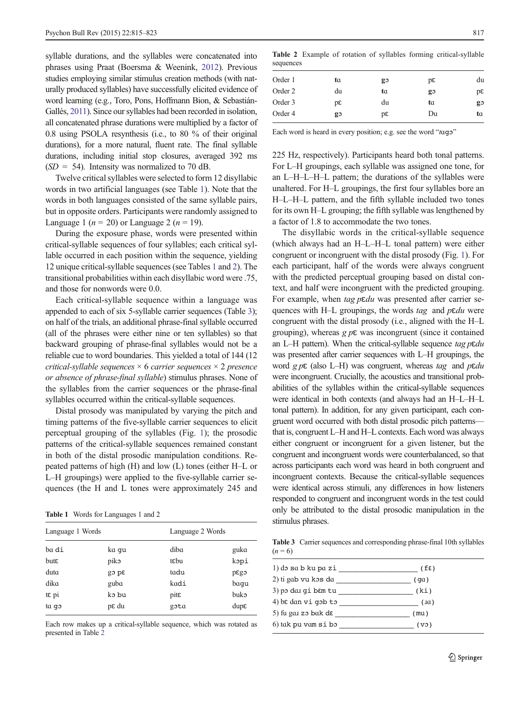syllable durations, and the syllables were concatenated into phrases using Praat (Boersma & Weenink, [2012\)](#page-7-0). Previous studies employing similar stimulus creation methods (with naturally produced syllables) have successfully elicited evidence of word learning (e.g., Toro, Pons, Hoffmann Bion, & Sebastián-Gallés, [2011\)](#page-8-0). Since our syllables had been recorded in isolation, all concatenated phrase durations were multiplied by a factor of 0.8 using PSOLA resynthesis (i.e., to 80 % of their original durations), for a more natural, fluent rate. The final syllable durations, including initial stop closures, averaged 392 ms  $(SD = 54)$ . Intensity was normalized to 70 dB.

Twelve critical syllables were selected to form 12 disyllabic words in two artificial languages (see Table 1). Note that the words in both languages consisted of the same syllable pairs, but in opposite orders. Participants were randomly assigned to Language 1 ( $n = 20$ ) or Language 2 ( $n = 19$ ).

During the exposure phase, words were presented within critical-syllable sequences of four syllables; each critical syllable occurred in each position within the sequence, yielding 12 unique critical-syllable sequences (see Tables 1 and 2). The transitional probabilities within each disyllabic word were .75, and those for nonwords were 0.0.

Each critical-syllable sequence within a language was appended to each of six 5-syllable carrier sequences (Table 3); on half of the trials, an additional phrase-final syllable occurred (all of the phrases were either nine or ten syllables) so that backward grouping of phrase-final syllables would not be a reliable cue to word boundaries. This yielded a total of 144 (12 critical-syllable sequences  $\times$  6 carrier sequences  $\times$  2 presence or absence of phrase-final syllable) stimulus phrases. None of the syllables from the carrier sequences or the phrase-final syllables occurred within the critical-syllable sequences.

Distal prosody was manipulated by varying the pitch and timing patterns of the five-syllable carrier sequences to elicit perceptual grouping of the syllables (Fig. [1](#page-3-0)); the prosodic patterns of the critical-syllable sequences remained constant in both of the distal prosodic manipulation conditions. Repeated patterns of high (H) and low (L) tones (either H–L or L–H groupings) were applied to the five-syllable carrier sequences (the H and L tones were approximately 245 and

Table 1 Words for Languages 1 and 2

| Language 1 Words |         | Language 2 Words |               |
|------------------|---------|------------------|---------------|
| ba di            | ka qu   | diba             | guka          |
| $but\epsilon$    | piko    | tεbu             | kopi          |
| duta             | $3q$ cg | tadu             | pgg           |
| dika.            | guba    | kadi             | baqu          |
| tε pi            | ko bu   | pite             | buko          |
| ta qo            | pε du   | gota             | $dup\epsilon$ |

Each row makes up a critical-syllable sequence, which was rotated as presented in Table 2

Table 2 Example of rotation of syllables forming critical-syllable sequences

| Order 1 | ta | go | pε | du |
|---------|----|----|----|----|
| Order 2 | du | ta | go | pε |
| Order 3 | pε | du | ta | go |
| Order 4 | g  | pε | Du | ta |

Each word is heard in every position; e.g. see the word "tago"

225 Hz, respectively). Participants heard both tonal patterns. For L–H groupings, each syllable was assigned one tone, for an L–H–L–H–L pattern; the durations of the syllables were unaltered. For H–L groupings, the first four syllables bore an H–L–H–L pattern, and the fifth syllable included two tones for its own H–L grouping; the fifth syllable was lengthened by a factor of 1.8 to accommodate the two tones.

The disyllabic words in the critical-syllable sequence (which always had an H–L–H–L tonal pattern) were either congruent or incongruent with the distal prosody (Fig. [1\)](#page-3-0). For each participant, half of the words were always congruent with the predicted perceptual grouping based on distal context, and half were incongruent with the predicted grouping. For example, when  $tag \rho \varepsilon du$  was presented after carrier sequences with H–L groupings, the words tag and  $p \varepsilon du$  were congruent with the distal prosody (i.e., aligned with the H–L grouping), whereas  $g p \varepsilon$  was incongruent (since it contained an L–H pattern). When the critical-syllable sequence  $tag$  p $\mathcal{E}du$ was presented after carrier sequences with L–H groupings, the word  $g p \epsilon$  (also L–H) was congruent, whereas tag and  $p \epsilon du$ were incongruent. Crucially, the acoustics and transitional probabilities of the syllables within the critical-syllable sequences were identical in both contexts (and always had an H–L–H–L tonal pattern). In addition, for any given participant, each congruent word occurred with both distal prosodic pitch patterns that is, congruent L–H and H–L contexts. Each word was always either congruent or incongruent for a given listener, but the congruent and incongruent words were counterbalanced, so that across participants each word was heard in both congruent and incongruent contexts. Because the critical-syllable sequences were identical across stimuli, any differences in how listeners responded to congruent and incongruent words in the test could only be attributed to the distal prosodic manipulation in the stimulus phrases.

Table 3 Carrier sequences and corresponding phrase-final 10th syllables  $(n = 6)$ 

| l) do sa b ku pa zi              | $(f\epsilon)$ |
|----------------------------------|---------------|
| 2) ti gab vu kos da              | (qa)          |
| 3) po dai qi bam tu              | (ki)          |
| 4) bε dan vi gəb tə              | (a)           |
| 5) fu gar zo bak d $\varepsilon$ | (mu)          |
| 6) tak pu vam si bo              | ( və )        |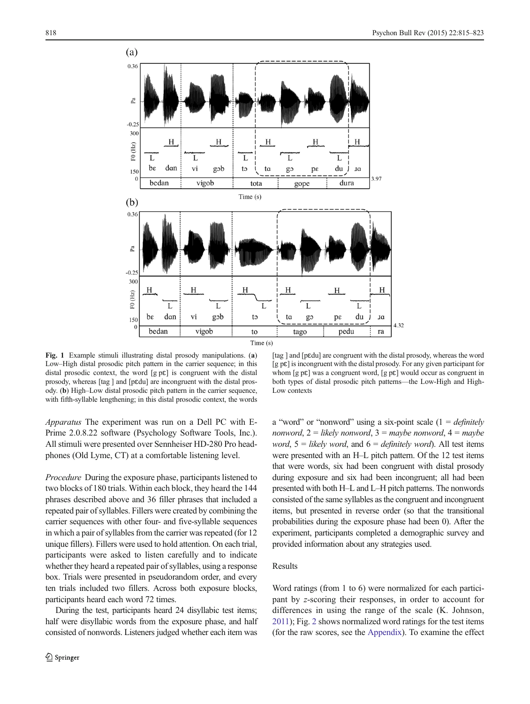<span id="page-3-0"></span>

Fig. 1 Example stimuli illustrating distal prosody manipulations. (a) Low–High distal prosodic pitch pattern in the carrier sequence; in this distal prosodic context, the word [g pɛ] is congruent with the distal prosody, whereas [tag ] and [pɛdu] are incongruent with the distal prosody. (b) High–Low distal prosodic pitch pattern in the carrier sequence, with fifth-syllable lengthening; in this distal prosodic context, the words

Apparatus The experiment was run on a Dell PC with E-Prime 2.0.8.22 software (Psychology Software Tools, Inc.). All stimuli were presented over Sennheiser HD-280 Pro headphones (Old Lyme, CT) at a comfortable listening level.

Procedure During the exposure phase, participants listened to two blocks of 180 trials. Within each block, they heard the 144 phrases described above and 36 filler phrases that included a repeated pair of syllables. Fillers were created by combining the carrier sequences with other four- and five-syllable sequences in which a pair of syllables from the carrier was repeated (for 12 unique fillers). Fillers were used to hold attention. On each trial, participants were asked to listen carefully and to indicate whether they heard a repeated pair of syllables, using a response box. Trials were presented in pseudorandom order, and every ten trials included two fillers. Across both exposure blocks, participants heard each word 72 times.

During the test, participants heard 24 disyllabic test items; half were disyllabic words from the exposure phase, and half consisted of nonwords. Listeners judged whether each item was

[tag ] and [pɛdu] are congruent with the distal prosody, whereas the word  $[g p \varepsilon]$  is incongruent with the distal prosody. For any given participant for whom [g  $p\epsilon$ ] was a congruent word, [g  $p\epsilon$ ] would occur as congruent in both types of distal prosodic pitch patterns—the Low-High and High-Low contexts

a "word" or "nonword" using a six-point scale  $(1 = \text{definitely})$ nonword,  $2 =$  likely nonword,  $3 =$  maybe nonword,  $4 =$  maybe word,  $5 =$  likely word, and  $6 =$  definitely word). All test items were presented with an H–L pitch pattern. Of the 12 test items that were words, six had been congruent with distal prosody during exposure and six had been incongruent; all had been presented with both H–L and L–H pitch patterns. The nonwords consisted of the same syllables as the congruent and incongruent items, but presented in reverse order (so that the transitional probabilities during the exposure phase had been 0). After the experiment, participants completed a demographic survey and provided information about any strategies used.

# Results

Word ratings (from 1 to 6) were normalized for each participant by z-scoring their responses, in order to account for differences in using the range of the scale (K. Johnson, [2011](#page-8-0)); Fig. [2](#page-4-0) shows normalized word ratings for the test items (for the raw scores, see the [Appendix\)](#page-7-0). To examine the effect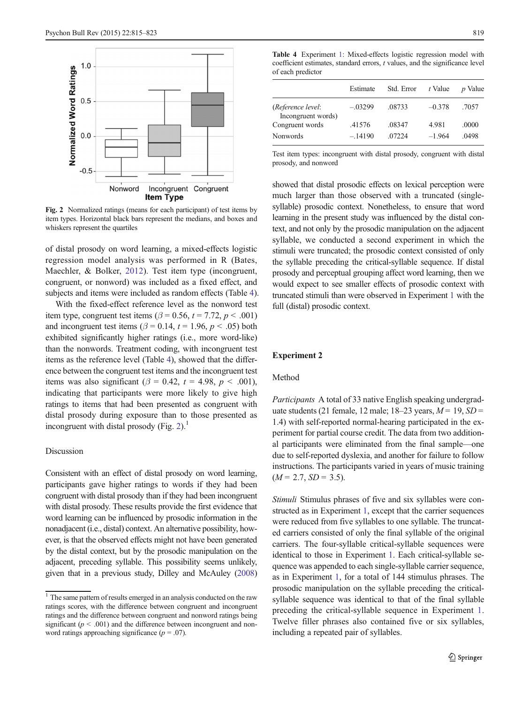<span id="page-4-0"></span>

Fig. 2 Normalized ratings (means for each participant) of test items by item types. Horizontal black bars represent the medians, and boxes and whiskers represent the quartiles

of distal prosody on word learning, a mixed-effects logistic regression model analysis was performed in R (Bates, Maechler, & Bolker, [2012](#page-7-0)). Test item type (incongruent, congruent, or nonword) was included as a fixed effect, and subjects and items were included as random effects (Table 4).

With the fixed-effect reference level as the nonword test item type, congruent test items ( $\beta$  = 0.56, t = 7.72, p < .001) and incongruent test items ( $\beta$  = 0.14, t = 1.96, p < .05) both exhibited significantly higher ratings (i.e., more word-like) than the nonwords. Treatment coding, with incongruent test items as the reference level (Table 4), showed that the difference between the congruent test items and the incongruent test items was also significant ( $\beta = 0.42$ ,  $t = 4.98$ ,  $p < .001$ ), indicating that participants were more likely to give high ratings to items that had been presented as congruent with distal prosody during exposure than to those presented as incongruent with distal prosody (Fig.  $2$ ).<sup>1</sup>

# Discussion

Consistent with an effect of distal prosody on word learning, participants gave higher ratings to words if they had been congruent with distal prosody than if they had been incongruent with distal prosody. These results provide the first evidence that word learning can be influenced by prosodic information in the nonadjacent (i.e., distal) context. An alternative possibility, however, is that the observed effects might not have been generated by the distal context, but by the prosodic manipulation on the adjacent, preceding syllable. This possibility seems unlikely, given that in a previous study, Dilley and McAuley ([2008\)](#page-7-0)

Table 4 Experiment [1:](#page-1-0) Mixed-effects logistic regression model with coefficient estimates, standard errors, t values, and the significance level of each predictor

|                                         | Estimate  | Std. Error | t Value  | <i>p</i> Value |
|-----------------------------------------|-----------|------------|----------|----------------|
| (Reference level:<br>Incongruent words) | $-.03299$ | .08733     | $-0.378$ | .7057          |
| Congruent words                         | .41576    | .08347     | 4.981    | .0000          |
| <b>Nonwords</b>                         | $-.14190$ | 07224      | $-1.964$ | .0498          |

Test item types: incongruent with distal prosody, congruent with distal prosody, and nonword

showed that distal prosodic effects on lexical perception were much larger than those observed with a truncated (singlesyllable) prosodic context. Nonetheless, to ensure that word learning in the present study was influenced by the distal context, and not only by the prosodic manipulation on the adjacent syllable, we conducted a second experiment in which the stimuli were truncated; the prosodic context consisted of only the syllable preceding the critical-syllable sequence. If distal prosody and perceptual grouping affect word learning, then we would expect to see smaller effects of prosodic context with truncated stimuli than were observed in Experiment [1](#page-1-0) with the full (distal) prosodic context.

## Experiment 2

## Method

Participants A total of 33 native English speaking undergraduate students (21 female, 12 male; 18–23 years,  $M = 19$ ,  $SD =$ 1.4) with self-reported normal-hearing participated in the experiment for partial course credit. The data from two additional participants were eliminated from the final sample—one due to self-reported dyslexia, and another for failure to follow instructions. The participants varied in years of music training  $(M = 2.7, SD = 3.5).$ 

Stimuli Stimulus phrases of five and six syllables were constructed as in Experiment [1,](#page-1-0) except that the carrier sequences were reduced from five syllables to one syllable. The truncated carriers consisted of only the final syllable of the original carriers. The four-syllable critical-syllable sequences were identical to those in Experiment [1.](#page-1-0) Each critical-syllable sequence was appended to each single-syllable carrier sequence, as in Experiment [1](#page-1-0), for a total of 144 stimulus phrases. The prosodic manipulation on the syllable preceding the criticalsyllable sequence was identical to that of the final syllable preceding the critical-syllable sequence in Experiment [1.](#page-1-0) Twelve filler phrases also contained five or six syllables, including a repeated pair of syllables.

<sup>&</sup>lt;sup>1</sup> The same pattern of results emerged in an analysis conducted on the raw ratings scores, with the difference between congruent and incongruent ratings and the difference between congruent and nonword ratings being significant ( $p < .001$ ) and the difference between incongruent and nonword ratings approaching significance  $(p = .07)$ .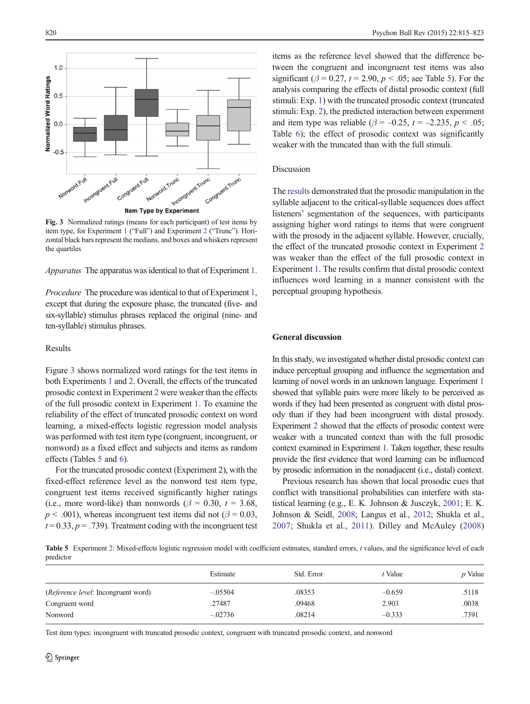

Fig. 3 Normalized ratings (means for each participant) of test items by item type, for Experiment [1](#page-1-0) ("Full") and Experiment [2](#page-4-0) ("Trunc"). Horizontal black bars represent the medians, and boxes and whiskers represent the quartiles

Apparatus The apparatus was identical to that of Experiment [1.](#page-1-0)

Procedure The procedure was identical to that of Experiment [1,](#page-1-0) except that during the exposure phase, the truncated (five- and six-syllable) stimulus phrases replaced the original (nine- and ten-syllable) stimulus phrases.

## Results

Figure 3 shows normalized word ratings for the test items in both Experiments [1](#page-1-0) and [2.](#page-4-0) Overall, the effects of the truncated prosodic context in Experiment [2](#page-4-0) were weaker than the effects of the full prosodic context in Experiment [1](#page-1-0). To examine the reliability of the effect of truncated prosodic context on word learning, a mixed-effects logistic regression model analysis was performed with test item type (congruent, incongruent, or nonword) as a fixed effect and subjects and items as random effects (Tables 5 and [6](#page-6-0)).

For the truncated prosodic context (Experiment 2), with the fixed-effect reference level as the nonword test item type, congruent test items received significantly higher ratings (i.e., more word-like) than nonwords ( $\beta = 0.30$ ,  $t = 3.68$ ,  $p < .001$ ), whereas incongruent test items did not ( $\beta = 0.03$ ,  $t = 0.33$ ,  $p = .739$ ). Treatment coding with the incongruent test items as the reference level showed that the difference between the congruent and incongruent test items was also significant ( $\beta$  = 0.27, t = 2.90, p < .05; see Table 5). For the analysis comparing the effects of distal prosodic context (full stimuli: Exp. [1\)](#page-1-0) with the truncated prosodic context (truncated stimuli: Exp. [2\)](#page-4-0), the predicted interaction between experiment and item type was reliable ( $\beta = -0.25$ ,  $t = -2.235$ ,  $p < .05$ ; Table [6](#page-6-0)); the effect of prosodic context was significantly weaker with the truncated than with the full stimuli.

## Discussion

The [results](#page-3-0) demonstrated that the prosodic manipulation in the syllable adjacent to the critical-syllable sequences does affect listeners' segmentation of the sequences, with participants assigning higher word ratings to items that were congruent with the prosody in the adjacent syllable. However, crucially, the effect of the truncated prosodic context in Experiment [2](#page-4-0) was weaker than the effect of the full prosodic context in Experiment [1](#page-1-0). The results confirm that distal prosodic context influences word learning in a manner consistent with the perceptual grouping hypothesis.

#### General discussion

In this study, we investigated whether distal prosodic context can induce perceptual grouping and influence the segmentation and learning of novel words in an unknown language. Experiment [1](#page-1-0) showed that syllable pairs were more likely to be perceived as words if they had been presented as congruent with distal prosody than if they had been incongruent with distal prosody. Experiment [2](#page-4-0) showed that the effects of prosodic context were weaker with a truncated context than with the full prosodic context examined in Experiment [1.](#page-1-0) Taken together, these results provide the first evidence that word learning can be influenced by prosodic information in the nonadjacent (i.e., distal) context.

Previous research has shown that local prosodic cues that conflict with transitional probabilities can interfere with statistical learning (e.g., E. K. Johnson & Jusczyk, [2001](#page-8-0); E. K. Johnson & Seidl, [2008](#page-8-0); Langus et al., [2012](#page-8-0); Shukla et al., [2007;](#page-8-0) Shukla et al., [2011](#page-8-0)). Dilley and McAuley ([2008](#page-7-0))

Table 5 Experiment [2:](#page-4-0) Mixed-effects logistic regression model with coefficient estimates, standard errors, t values, and the significance level of each predictor

|                                            | Estimate  | Std. Error | t Value  | <i>p</i> Value |
|--------------------------------------------|-----------|------------|----------|----------------|
| <i>(Reference level: Incongruent word)</i> | $-.05504$ | .08353     | $-0.659$ | .5118          |
| Congruent word                             | .27487    | .09468     | 2.903    | .0038          |
| Nonword                                    | $-.02736$ | .08214     | $-0.333$ | .7391          |

Test item types: incongruent with truncated prosodic context, congruent with truncated prosodic context, and nonword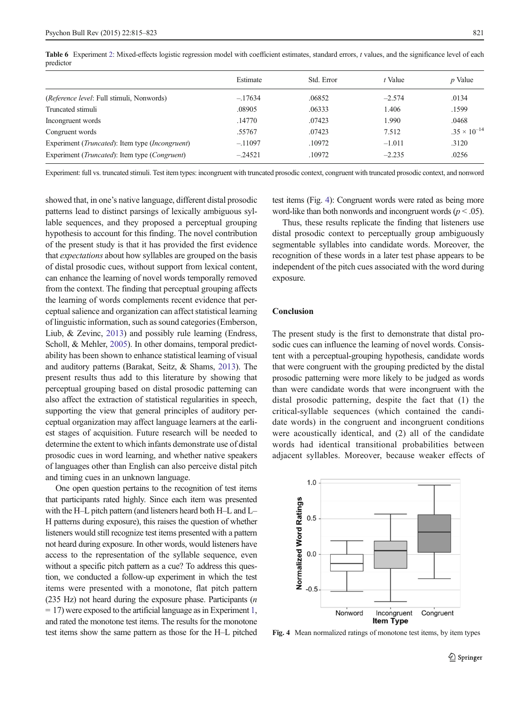|                                                                   | Estimate  | Std. Error | t Value  | <i>p</i> Value        |
|-------------------------------------------------------------------|-----------|------------|----------|-----------------------|
| ( <i>Reference level</i> : Full stimuli, Nonwords)                | $-.17634$ | .06852     | $-2.574$ | .0134                 |
| Truncated stimuli                                                 | .08905    | .06333     | 1.406    | .1599                 |
| Incongruent words                                                 | .14770    | .07423     | 1.990    | .0468                 |
| Congruent words                                                   | .55767    | .07423     | 7.512    | $.35 \times 10^{-14}$ |
| Experiment ( <i>Truncated</i> ): Item type ( <i>Incongruent</i> ) | $-.11097$ | .10972     | $-1.011$ | .3120                 |
| Experiment ( <i>Truncated</i> ): Item type ( <i>Congruent</i> )   | $-.24521$ | .10972     | $-2.235$ | .0256                 |
|                                                                   |           |            |          |                       |

<span id="page-6-0"></span>Table 6 Experiment [2:](#page-4-0) Mixed-effects logistic regression model with coefficient estimates, standard errors, t values, and the significance level of each predictor

Experiment: full vs. truncated stimuli. Test item types: incongruent with truncated prosodic context, congruent with truncated prosodic context, and nonword

showed that, in one's native language, different distal prosodic patterns lead to distinct parsings of lexically ambiguous syllable sequences, and they proposed a perceptual grouping hypothesis to account for this finding. The novel contribution of the present study is that it has provided the first evidence that expectations about how syllables are grouped on the basis of distal prosodic cues, without support from lexical content, can enhance the learning of novel words temporally removed from the context. The finding that perceptual grouping affects the learning of words complements recent evidence that perceptual salience and organization can affect statistical learning of linguistic information, such as sound categories (Emberson, Liub, & Zevinc, [2013](#page-7-0)) and possibly rule learning (Endress, Scholl, & Mehler, [2005](#page-7-0)). In other domains, temporal predictability has been shown to enhance statistical learning of visual and auditory patterns (Barakat, Seitz, & Shams, [2013\)](#page-7-0). The present results thus add to this literature by showing that perceptual grouping based on distal prosodic patterning can also affect the extraction of statistical regularities in speech, supporting the view that general principles of auditory perceptual organization may affect language learners at the earliest stages of acquisition. Future research will be needed to determine the extent to which infants demonstrate use of distal prosodic cues in word learning, and whether native speakers of languages other than English can also perceive distal pitch and timing cues in an unknown language.

One open question pertains to the recognition of test items that participants rated highly. Since each item was presented with the H–L pitch pattern (and listeners heard both H–L and L– H patterns during exposure), this raises the question of whether listeners would still recognize test items presented with a pattern not heard during exposure. In other words, would listeners have access to the representation of the syllable sequence, even without a specific pitch pattern as a cue? To address this question, we conducted a follow-up experiment in which the test items were presented with a monotone, flat pitch pattern (235 Hz) not heard during the exposure phase. Participants (n  $= 17$ ) were exposed to the artificial language as in Experiment [1,](#page-1-0) and rated the monotone test items. The results for the monotone test items show the same pattern as those for the H–L pitched test items (Fig. 4): Congruent words were rated as being more word-like than both nonwords and incongruent words ( $p < .05$ ).

Thus, these results replicate the finding that listeners use distal prosodic context to perceptually group ambiguously segmentable syllables into candidate words. Moreover, the recognition of these words in a later test phase appears to be independent of the pitch cues associated with the word during exposure.

## **Conclusion**

The present study is the first to demonstrate that distal prosodic cues can influence the learning of novel words. Consistent with a perceptual-grouping hypothesis, candidate words that were congruent with the grouping predicted by the distal prosodic patterning were more likely to be judged as words than were candidate words that were incongruent with the distal prosodic patterning, despite the fact that (1) the critical-syllable sequences (which contained the candidate words) in the congruent and incongruent conditions were acoustically identical, and (2) all of the candidate words had identical transitional probabilities between adjacent syllables. Moreover, because weaker effects of



Fig. 4 Mean normalized ratings of monotone test items, by item types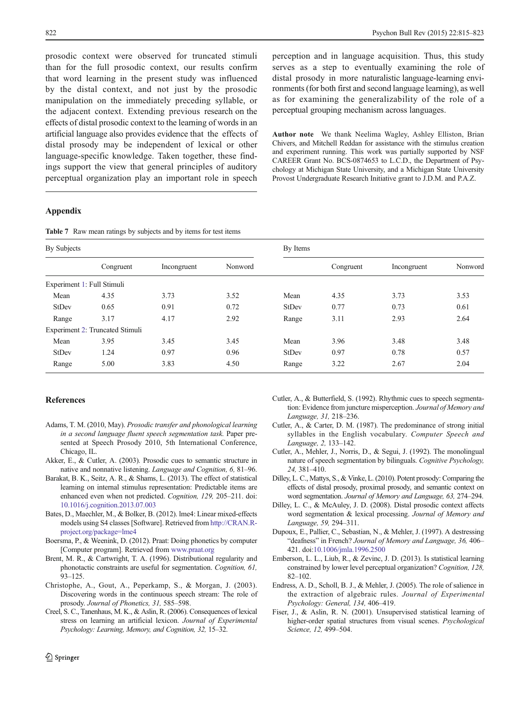<span id="page-7-0"></span>prosodic context were observed for truncated stimuli than for the full prosodic context, our results confirm that word learning in the present study was influenced by the distal context, and not just by the prosodic manipulation on the immediately preceding syllable, or the adjacent context. Extending previous research on the effects of distal prosodic context to the learning of words in an artificial language also provides evidence that the effects of distal prosody may be independent of lexical or other language-specific knowledge. Taken together, these findings support the view that general principles of auditory perceptual organization play an important role in speech

perception and in language acquisition. Thus, this study serves as a step to eventually examining the role of distal prosody in more naturalistic language-learning environments (for both first and second language learning), as well as for examining the generalizability of the role of a perceptual grouping mechanism across languages.

Author note We thank Neelima Wagley, Ashley Elliston, Brian Chivers, and Mitchell Reddan for assistance with the stimulus creation and experiment running. This work was partially supported by NSF CAREER Grant No. BCS-0874653 to L.C.D., the Department of Psychology at Michigan State University, and a Michigan State University Provost Undergraduate Research Initiative grant to J.D.M. and P.A.Z.

## Appendix

Table 7 Raw mean ratings by subjects and by items for test items

| By Subjects                |                                 |             | By Items |              |           |             |         |
|----------------------------|---------------------------------|-------------|----------|--------------|-----------|-------------|---------|
|                            | Congruent                       | Incongruent | Nonword  |              | Congruent | Incongruent | Nonword |
| Experiment 1: Full Stimuli |                                 |             |          |              |           |             |         |
| Mean                       | 4.35                            | 3.73        | 3.52     | Mean         | 4.35      | 3.73        | 3.53    |
| <b>StDev</b>               | 0.65                            | 0.91        | 0.72     | <b>StDev</b> | 0.77      | 0.73        | 0.61    |
| Range                      | 3.17                            | 4.17        | 2.92     | Range        | 3.11      | 2.93        | 2.64    |
|                            | Experiment 2: Truncated Stimuli |             |          |              |           |             |         |
| Mean                       | 3.95                            | 3.45        | 3.45     | Mean         | 3.96      | 3.48        | 3.48    |
| <b>StDev</b>               | 1.24                            | 0.97        | 0.96     | <b>StDev</b> | 0.97      | 0.78        | 0.57    |
| Range                      | 5.00                            | 3.83        | 4.50     | Range        | 3.22      | 2.67        | 2.04    |

## **References**

- Adams, T. M. (2010, May). Prosodic transfer and phonological learning in a second language fluent speech segmentation task. Paper presented at Speech Prosody 2010, 5th International Conference, Chicago, IL.
- Akker, E., & Cutler, A. (2003). Prosodic cues to semantic structure in native and nonnative listening. Language and Cognition, 6, 81–96.
- Barakat, B. K., Seitz, A. R., & Shams, L. (2013). The effect of statistical learning on internal stimulus representation: Predictable items are enhanced even when not predicted. Cognition, 129, 205–211. doi: [10.1016/j.cognition.2013.07.003](http://dx.doi.org/10.1016/j.cognition.2013.07.003)
- Bates, D., Maechler, M., & Bolker, B. (2012). lme4: Linear mixed-effects models using S4 classes [Software]. Retrieved from [http://CRAN.R](http://cran.r-project.org/package=lme4)[project.org/package=lme4](http://cran.r-project.org/package=lme4)
- Boersma, P., & Weenink, D. (2012). Praat: Doing phonetics by computer [Computer program]. Retrieved from [www.praat.org](http://www.praat.org/)
- Brent, M. R., & Cartwright, T. A. (1996). Distributional regularity and phonotactic constraints are useful for segmentation. Cognition, 61, 93–125.
- Christophe, A., Gout, A., Peperkamp, S., & Morgan, J. (2003). Discovering words in the continuous speech stream: The role of prosody. Journal of Phonetics, 31, 585–598.
- Creel, S. C., Tanenhaus, M. K., & Aslin, R. (2006). Consequences of lexical stress on learning an artificial lexicon. Journal of Experimental Psychology: Learning, Memory, and Cognition, 32, 15–32.
- Cutler, A., & Butterfield, S. (1992). Rhythmic cues to speech segmentation: Evidence from juncture misperception. Journal of Memory and Language, 31, 218–236.
- Cutler, A., & Carter, D. M. (1987). The predominance of strong initial syllables in the English vocabulary. Computer Speech and Language, 2, 133–142.
- Cutler, A., Mehler, J., Norris, D., & Segui, J. (1992). The monolingual nature of speech segmentation by bilinguals. Cognitive Psychology, 24, 381–410.
- Dilley, L. C., Mattys, S., & Vinke, L. (2010). Potent prosody: Comparing the effects of distal prosody, proximal prosody, and semantic context on word segmentation. Journal of Memory and Language, 63, 274–294.
- Dilley, L. C., & McAuley, J. D. (2008). Distal prosodic context affects word segmentation & lexical processing. Journal of Memory and Language, 59, 294–311.
- Dupoux, E., Pallier, C., Sebastian, N., & Mehler, J. (1997). A destressing "deafness" in French? Journal of Memory and Language, 36, 406-421. doi[:10.1006/jmla.1996.2500](http://dx.doi.org/10.1006/jmla.1996.2500)
- Emberson, L. L., Liub, R., & Zevinc, J. D. (2013). Is statistical learning constrained by lower level perceptual organization? Cognition, 128, 82–102.
- Endress, A. D., Scholl, B. J., & Mehler, J. (2005). The role of salience in the extraction of algebraic rules. Journal of Experimental Psychology: General, 134, 406–419.
- Fiser, J., & Aslin, R. N. (2001). Unsupervised statistical learning of higher-order spatial structures from visual scenes. Psychological Science, 12, 499–504.